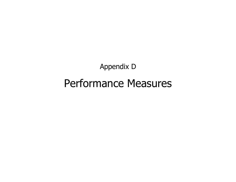Appendix D Performance Measures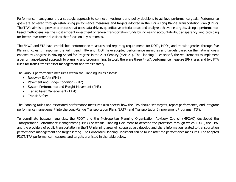Performance management is a strategic approach to connect investment and policy decisions to achieve performance goals. Performance goals are achieved through establishing performance measures and targets adopted in the TPA's Long Range Transportation Plan (LRTP). The TPA's aim is to provide a process that uses data-driven, quantitative criteria to set and analyze achievable targets. Using a performancebased method ensures the most efficient investment of federal transportation funds by increasing accountability, transparency, and providing for better investment decisions that focus on key outcomes.

The FHWA and FTA have established performance measures and reporting requirements for DOTs, MPOs, and transit agencies through five Planning Rules. In response, the Palm Beach TPA and FDOT have adopted performance measures and targets based on the national goals enacted by Congress in Moving Ahead for Progress in the 21st Century (MAP-21). The Planning Rules specify the requirements to implement a performance-based approach to planning and programming. In total, there are three FHWA performance measure (PM) rules and two FTA rules for transit-transit asset management and transit safety.

The various performance measures within the Planning Rules assess:

- Roadway Safety (PM1)
- Pavement and Bridge Condition (PM2)
- System Performance and Freight Movement (PM3)
- Transit Asset Management (TAM)
- Transit Safety

The Planning Rules and associated performance measures also specify how the TPA should set targets, report performance, and integrate performance management into the Long-Range Transportation Plans (LRTP) and Transportation Improvement Programs (TIP).

To coordinate between agencies, the FDOT and the Metropolitan Planning Organization Advisory Council (MPOAC) developed the Transportation Performance Management (TPM) Consensus Planning Document to describe the processes through which FDOT, the TPA, and the providers of public transportation in the TPA planning area will cooperatively develop and share information related to transportation performance management and target setting. The Consensus Planning Document can be found after the performance measures. The adopted FDOT/TPA performance measures and targets are listed in the table below.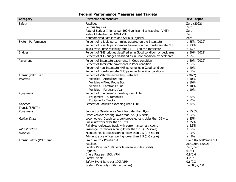|                            | <b>Federal Performance Measures and Targets</b>                     |                                |
|----------------------------|---------------------------------------------------------------------|--------------------------------|
| <b>Category</b>            | <b>Performance Measure</b>                                          | <b>TPA Target</b>              |
| Safety                     | <b>Fatalities</b>                                                   | Zero (2022)                    |
|                            | Serious Injuries                                                    | Zero                           |
|                            | Rate of Serious Injuries per 100M vehicle miles travelled (VMT)     | Zero                           |
|                            | Rate of Fatalities per 100M VMT                                     | Zero                           |
|                            | Nonmotorized Fatalities and Serious Injuries                        | Zero                           |
| System Performance         | Percent of reliable person-miles traveled on the Interstate         | $\geq$ 85% (2022)              |
|                            | Percent of reliable person-miles traveled on the non-Interstate NHS | $\geq 93\%$                    |
|                            | Truck travel time reliability ratio (TTTR) on the Interstate        | $\leq 1.75$                    |
| <b>Bridges</b>             | Percent of NHS bridges classified as in Good condition by deck area | $\geq 50\%$ (2022)             |
|                            | Percent of NHS bridges classified as in Poor condition by deck area | $\leq 5\%$                     |
| Pavement                   | Percent of Interstate pavements in Good condition                   | $\geq 60\%$ (2022)             |
|                            | Percent of Interstate pavements in Poor condition                   | $\leq 5\%$                     |
|                            | Percent of non-Interstate NHS pavements in Good condition           | $\geq 40\%$                    |
|                            | Percent of non-Interstate NHS pavements in Poor condition           | $\leq 5\%$                     |
| Transit (Palm Tran)        | Percent of Vehicles exceeding useful life                           | (2022)                         |
| Vehicles                   | Vehicles - Articulated Bus                                          | $\leq 10\%$                    |
|                            | Vehicles - Fixed Route Bus                                          | $\leq 10\%$                    |
|                            | Vehicles - Paratransit Bus                                          | $\leq 10\%$                    |
|                            | Vehicles – Paratransit Van                                          | $\leq 10\%$                    |
| Equipment                  | Percent of Equipment exceeding useful life                          |                                |
|                            | Equipment - Automobiles                                             | $\leq 0\%$                     |
|                            | Equipment - Trucks                                                  | $\leq 0\%$                     |
| <b>Facilities</b>          | Percent of Facilities exceeding useful life                         | $\leq 0\%$                     |
| Transit (SFRTA)            |                                                                     |                                |
| Equipment                  | Support & Maintenance Vehicles older than 8yrs                      | $\leq 55.6\%$                  |
|                            | Other vehicles scoring lower than 2.5 (1-5 scale)                   | $\leq 5\%$                     |
| <b>Rolling Stock</b>       | Locomotives, Coach cars, self-propelled cars older than 39 yrs.     | $\leq 25\%$                    |
|                            | Bus (Cutaway) older than 10 yrs.                                    | $\leq 25\%$                    |
|                            | Rail fixed-guideway track with performance restrictions             | $\leq 3.5\%$                   |
| Infrastructure             | Passenger terminals scoring lower than 2.5 (1-5 scale)              | $\leq 5\%$                     |
| Facilities                 | Maintenance facilities scoring lower than 2.5 (1-5 scale)           | $\leq 5\%$                     |
|                            | Administrative offices scoring lower than 2.5 (1-5 scale)           | $\leq 5\%$                     |
| Transit Safety (Palm Tran) | Fixed Route / Paratransit                                           | <b>Fixed Route/Paratransit</b> |
|                            | <b>Fatalities</b>                                                   | Zero/Zero (2022)               |
|                            | Fatality Rate per 100k vehicle revenue miles (VRM)                  | Zero/Zero                      |
|                            | Injuries                                                            | 63/34                          |
|                            | Injury Rate per 100k VRM                                            | 0.9/0.4                        |
|                            | Safety Events                                                       | 43/32                          |
|                            | Safety Event Rate per 100k VRM                                      | 0.6/0.3                        |
|                            | System Reliability (VRM per failure)                                | 14,000/7,700                   |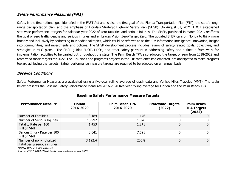## Safety Performance Measures (PM1)

Safety is the first national goal identified in the FAST Act and is also the first goal of the Florida Transportation Plan (FTP), the state's longrange transportation plan, and the emphasis of Florida's Strategic Highway Safety Plan (SHSP). On August 31, 2021, FDOT established statewide performance targets for calendar year 2022 of zero fatalities and serious injuries. The SHSP, published in March 2021, reaffirms the goal of zero traffic deaths and serious injuries and embraces Vision Zero/Target Zero. The updated SHSP calls on Florida to think more broadly and inclusively by addressing four additional topics, which could be referred to as the 4Is: information intelligence, innovation, insight into communities, and investments and policies. The SHSP development process includes review of safety-related goals, objectives, and strategies in MPO plans. The SHSP guides FDOT, MPOs, and other safety partners in addressing safety and defines a framework for implementation activities to be carried out throughout the state. The Palm Beach TPA also adopted the target of zero from 2018-2022 and reaffirmed those targets for 2022. The TPA plans and programs projects in the TIP that, once implemented, are anticipated to make progress toward achieving the targets. Safety performance measure targets are required to be adopted on an annual basis.

### Baseline Conditions

Safety Performance Measures are evaluated using a five-year rolling average of crash data and Vehicle Miles Traveled (VMT). The table below presents the Baseline Safety Performance Measures 2016-2020 five-year rolling average for Florida and the Palm Beach TPA.

| <b>Performance Measure</b>                               | <b>Florida</b><br>2016-2020 | <b>Palm Beach TPA</b><br>2016-2020 | <b>Statewide Targets</b><br>(2022) | <b>Palm Beach</b><br><b>TPA Targets</b><br>(2022) |
|----------------------------------------------------------|-----------------------------|------------------------------------|------------------------------------|---------------------------------------------------|
| Number of Fatalities                                     | 3,189                       | 176                                |                                    | $\Omega$                                          |
| Number of Serious Injuries                               | 18,992                      | 1,076                              |                                    | 0 <sup>1</sup>                                    |
| Fatality Rate per 100<br>million VMT                     | 1.453                       | 1.241                              |                                    | $\overline{0}$                                    |
| Serious Injury Rate per 100<br>million VMT               | 8.641                       | 7.591                              |                                    | 0 <sup>1</sup>                                    |
| Number of non-motorized<br>Fatalities & serious injuries | 3,192.4                     | 206.8                              |                                    | $\overline{0}$                                    |

## **Baseline Safety Performance Measure Targets**

\*VMT= Vehicle Miles Traveled

Source: FDOT 2019 FHWA Performance Measures per MPO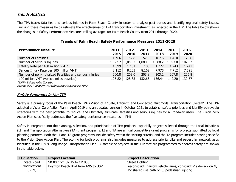## Trends Analysis

The TPA tracks fatalities and serious injuries in Palm Beach County in order to analyze past trends and identify regional safety issues. Tracking these measures helps estimate the effectiveness of TPA transportation investment, as reflected in the TIP. The table below shows the changes in Safety Performance Measures rolling averages for Palm Beach County from 2011 through 2020.

| $2011 -$ | $2012 -$ | $2013-$ | $2014 -$ | $2015 -$ | $2016 -$ |
|----------|----------|---------|----------|----------|----------|
| 2015     | 2016     | 2017    | 2018     | 2019     | 2020     |
| 139.6    | 152.8    | 157.8   | 167.6    | 176.0    | 175.6    |
| 1,027.2  | 1,055.2  | 1,080.6 | 1,088.2  | 1,093.0  | 1076.2   |
| 1.099    | 1.181    | 1.188   | 1.227    | 1,243    | 1.241    |
| 8.112    | 8.203    | 8.162   | 7.975    | 7.712    | 7.591    |
| 200.8    | 203.0    | 203.8   | 203.2    | 207.8    | 206.8    |
| 126.82   | 128.83   | 132.63  | 136.44   | 142.20   | 132.57   |
|          |          |         |          |          |          |

### **Trends of Palm Beach Safety Performance Measures 2011-2020**

\*VMT= Vehicle Miles Traveled

Source: FDOT 2020 FHWA Performance Measures per MPO

## Safety Programs in the TIP

Safety is a primary focus of the Palm Beach TPA's Vision of a "Safe, Efficient, and Connected Multimodal Transportation System". The TPA adopted a Vision Zero Action Plan in April 2019 and an updated version in October 2021 to establish safety priorities and identify achievable strategies with the best potential to reduce, and ultimately eliminate, fatalities and serious injuries for all roadway users. The Vision Zero Action Plan specifically addresses the five safety performance measures in PM1.

Safety is integrated into the planning, selection, and prioritization of TPA projects, especially projects selected through the Local Initiatives (LI) and Transportation Alternatives (TA) grant programs. LI and TA are annual competitive grant programs for projects submitted by local planning partners. Both the LI and TA grant programs include safety within the scoring criteria, and the TA program includes scoring specific to the Vision Zero Action Plan. The scoring for both programs also includes measures to address priority bike and pedestrian network gaps identified in the TPA's Long Range Transportation Plan. A sample of projects in the TIP that are programmed to address safety are shown in the table below.

| <b>TIP Section</b>   | <b>Project Location</b>              | <b>Project Description</b>                                     |
|----------------------|--------------------------------------|----------------------------------------------------------------|
| State Road           | SR 80 from SR 15 to CR 880           | Street Lighting                                                |
| <b>Modifications</b> | Boynton Beach Blvd from I-95 to US-1 | Reconstruct: narrow vehicle lanes, construct 9' sidewalk on N, |
| (SRM)                |                                      | 15' shared use path on S, pedestrian lighting                  |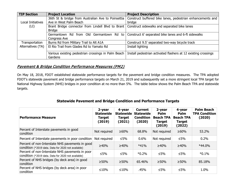| <b>TIP Section</b> | <b>Project Location</b>                                                                          | <b>Project Description</b>                                                                     |
|--------------------|--------------------------------------------------------------------------------------------------|------------------------------------------------------------------------------------------------|
|                    | 36th St & bridge from Australian Ave to Poinsettia                                               | Construct buffered bike lanes, pedestrian enhancements and                                     |
| Local Initiatives  | Ave in West Palm Beach                                                                           | bridge                                                                                         |
| (LI)               | Brant Bridge connector from Lindell Blvd to Brant   Construct sidewalks and separated bike lanes |                                                                                                |
|                    | <b>Bridge</b>                                                                                    |                                                                                                |
|                    |                                                                                                  | Germantown Rd from Old Germantown Rd to   Construct 6' separated bike lanes and 6-ft sidewalks |
|                    | Congress Ave                                                                                     |                                                                                                |
| Transportation     | Burns Rd from Military Trail to Alt A1A                                                          | Construct 9.5' separated two-way bicycle track                                                 |
| Alternatives (TA)  | El Rio Trail from Glades Rd to Yamato Rd                                                         | Install lighting                                                                               |
|                    |                                                                                                  |                                                                                                |
|                    | Various existing pedestrian crossings in Palm Beach                                              | Install pedestrian activated flashers at 12 existing crossings                                 |
|                    | Gardens                                                                                          |                                                                                                |

### Pavement & Bridge Condition Performance Measures (PM2)

On May 18, 2018, FDOT established statewide performance targets for the pavement and bridge condition measures. The TPA adopted FDOT's statewide pavement and bridge performance targets on March 21, 2019 and subsequently set a more stringent local TPA target for National Highway System (NHS) bridges in poor condition at no more than 5%. The table below shows the Palm Beach TPA and statewide targets.

### **Statewide Pavement and Bridge Condition and Performance Targets**

| <b>Performance Measure</b>                                                                             | 2-year<br><b>Statewide</b><br><b>Target</b><br>(2019) | 4-year<br><b>Statewide</b><br><b>Target</b><br>(2021) | <b>Current</b><br><b>Statewide</b><br><b>Condition</b><br>(2020) | 2-year<br>Palm<br><b>Beach TPA</b><br><b>Target</b><br>(2019) | 4-year<br><b>Palm</b><br><b>Beach TPA</b><br><b>Target</b><br>(2022) | <b>Palm Beach</b><br><b>TPA Condition</b><br>(2020) |
|--------------------------------------------------------------------------------------------------------|-------------------------------------------------------|-------------------------------------------------------|------------------------------------------------------------------|---------------------------------------------------------------|----------------------------------------------------------------------|-----------------------------------------------------|
| Percent of Interstate pavements in good<br>condition                                                   | Not required                                          | ≥60%                                                  | 68.8%                                                            | Not required                                                  | ≥60%                                                                 | 53.2%                                               |
| Percent of Interstate pavements in poor condition                                                      | Not required                                          | $≤5\%$                                                | 0.6%                                                             | Not required                                                  | $\leq 5\%$                                                           | 0.2%                                                |
| Percent of non-Interstate NHS pavements in good<br>condition (*2019 data. Data for 2020 not available) | ≥40%                                                  | ≥40%                                                  | $*41%$                                                           | ≥40%                                                          | ≥40%                                                                 | $*44.0\%$                                           |
| Percent of non-Interstate NHS pavements in poor<br>condition (*2019 data. Data for 2020 not available) | $\leq 5\%$                                            | ≤5%                                                   | $*0.2\%$                                                         | $\leq 5\%$                                                    | $\leq 5\%$                                                           | $*0.1%$                                             |
| Percent of NHS bridges (by deck area) in good<br>condition                                             | $>50\%$                                               | $>50\%$                                               | 65.46%                                                           | $>50\%$                                                       | $\geq 50\%$                                                          | 85.18%                                              |
| Percent of NHS bridges (by deck area) in poor<br>condition                                             | $\leq 10\%$                                           | $≤10%$                                                | .45%                                                             | ≤5%                                                           | $\leq 5\%$                                                           | 1.0%                                                |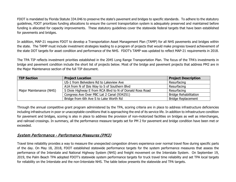FDOT is mandated by Florida Statute 334.046 to preserve the state's pavement and bridges to specific standards. To adhere to the statutory guidelines, FDOT prioritizes funding allocations to ensure the current transportation system is adequately preserved and maintained before funding is allocated for capacity improvements. These statutory guidelines cover the statewide federal targets that have been established for pavements and bridges.

In addition, MAP-21 requires FDOT to develop a Transportation Asset Management Plan (TAMP) for all NHS pavements and bridges within the state. The TAMP must include investment strategies leading to a program of projects that would make progress toward achievement of the state DOT targets for asset condition and performance of the NHS. FDOT's TAMP was updated to reflect MAP-21 requirements in 2018.

The TPA TIP reflects investment priorities established in the 2045 Long Range Transportation Plan. The focus of the TPA's investments in bridge and pavement condition include the short list of projects below. Most of the bridge and pavement projects that address PM2 are in the Major Maintenance section of the full TIP document.

| <b>TIP Section</b>      | <b>Project Description</b>                               |                              |
|-------------------------|----------------------------------------------------------|------------------------------|
|                         | US-1 from Belvedere Rd to Lakeview Ave                   | Resurfacing                  |
|                         | A1A from N of Ibis Way to S of Southern Blvd             | Resurfacing                  |
| Major Maintenance (NHS) | S Dixie Highway E from RCA Blvd to N of Donald Ross Road | Resurfacing                  |
|                         | Congress Ave Over PBC Lat 2 Canal (934251)               | <b>Bridge Rehabilitation</b> |
|                         | Bridge from 6th Ave S to Lake Worth Rd                   | <b>Bridge Replacement</b>    |

Through the annual competitive grant program administered by the TPA, scoring criteria are in place to address infrastructure deficiencies including infrastructure in poor or unacceptable conditions that is approaching the end of its service life. In addition to infrastructure condition for pavement and bridges, scoring is also in place to address the provision of non-motorized facilities on bridges as well as interchanges, and railroad crossings. In summary, all the performance measure targets set for PM 2 for pavement and bridge condition have been met or exceeded.

### System Performance - Performance Measures (PM3)

Travel time reliability provides a way to measure the unexpected congestion drivers experience over normal travel flow during specific parts of the day. On May 18, 2018, FDOT established statewide performance targets for the system performance measures that assess the performance of the Interstate and National Highway System (NHS) and freight movement on the Interstate System. On September 19, 2019, the Palm Beach TPA adopted FDOT's statewide system performance targets for truck travel time reliability and set TPA local targets for reliability on the Interstate and the non-Interstate NHS. The table below presents the statewide and TPA targets.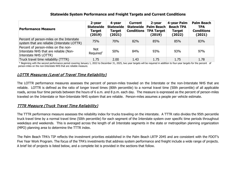#### **Statewide System Performance and Freight Targets and Current Conditions**

| <b>Performance Measure</b>                                                                             | 2-year<br><b>Statewide</b><br><b>Target</b><br>(2019) | 4-year<br>Statewide<br><b>Target</b><br>(2021) | <b>Current</b><br><b>Conditions</b> | 2-year<br>Statewide Palm Beach<br><b>TPA Target</b><br>(2019) | 4-year Palm<br><b>Beach TPA</b><br><b>Target</b><br>(2022) | <b>Palm Beach</b><br><b>TPA</b><br><b>Conditions</b><br>(2021) |
|--------------------------------------------------------------------------------------------------------|-------------------------------------------------------|------------------------------------------------|-------------------------------------|---------------------------------------------------------------|------------------------------------------------------------|----------------------------------------------------------------|
| Percent of person-miles on the Interstate<br>system that are reliable (Interstate LOTTR)               | 75%                                                   | 70%                                            | 82%                                 | 85%                                                           | 85%                                                        | 83%                                                            |
| Percent of person-miles on the non-<br>Interstate NHS that are reliable (Non-<br>Interstate NHS LOTTR) | Not.<br>Required*                                     | 50%                                            | 84%                                 | 93%                                                           | 93%                                                        | 97%                                                            |
| Truck travel time reliability (TTTR)                                                                   | 1.75                                                  | 2.00                                           | 1.43                                | 1.75                                                          | 1.75                                                       | 1.78                                                           |

 \* Beginning with the second performance period covering January 1, 2022 to December 31, 2025, two year targets will be required in addition to four-year targets for the percent of person-miles on the non-Interstate NHS that are reliable measure.

## LOTTR Measures (Level of Travel Time Reliability)

The LOTTR performance measures assesses the percent of person-miles traveled on the Interstate or the non-Interstate NHS that are reliable. LOTTR is defined as the ratio of longer travel times (80th percentile) to a normal travel time (50th percentile) of all applicable roads, across four time periods between the hours of 6 a.m. and 8 p.m. each day. The measure is expressed as the percent of person-miles traveled on the Interstate or Non-Interstate NHS system that are reliable. Person-miles assumes a people per vehicle estimate.

## TTTR Measure (Truck Travel Time Reliability)

The TTTR performance measure assesses the reliability index for trucks traveling on the interstate. A TTTR ratio divides the 95th percentile truck travel time by a normal travel time (50th percentile) for each segment of the Interstate system over specific time periods throughout weekdays and weekends. This is averaged across the length of all Interstate segments in the state or metropolitan planning organization (MPO) planning area to determine the TTTR index.

The Palm Beach TPA's TIP reflects the investment priorities established in the Palm Beach LRTP 2045 and are consistent with the FDOT's Five Year Work Program. The focus of the TPA's investments that address system performance and freight include a wide range of projects. A brief list of projects is listed below, and a complete list is provided in the sections that follow.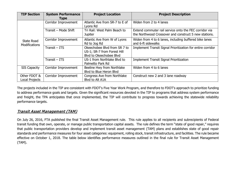| <b>TIP Section</b>                        | <b>System Performance</b><br><b>Type</b> | <b>Project Location</b>                                                                | <b>Project Description</b>                                                                                      |
|-------------------------------------------|------------------------------------------|----------------------------------------------------------------------------------------|-----------------------------------------------------------------------------------------------------------------|
|                                           | Corridor Improvement                     | Atlantic Ave from SR-7 to E of<br>Lyons Rd                                             | Widen from 2 to 4 lanes                                                                                         |
|                                           | Transit - Mode Shift                     | Tri Rail: West Palm Beach to<br><b>Jupiter</b>                                         | Extend commuter rail service onto the FEC corridor via<br>the Northwood Crossover and construct 5 new stations. |
| <b>State Road</b><br><b>Modifications</b> | Corridor Improvement                     | Atlantic Ave from W of Lyons<br>Rd to Jog Rd                                           | Widen from 4 to 6 lanes, including buffered bike lanes<br>and 6-ft sidewalks                                    |
|                                           | $Transit - ITS$                          | Okeechobee Blyd from SR 7 to<br>US-1; SR-7 from Forest Hill<br>Blyd to Okeechobee Blyd | Implement Transit Signal Prioritization for entire corridor                                                     |
|                                           | $Transit - ITS$                          | US-1 from Northlake Blyd to<br>Palmetto Park Rd                                        | <b>Implement Transit Signal Prioritization</b>                                                                  |
| <b>SIS Capacity</b>                       | Corridor Improvement                     | Beeline Hwy from Northlake<br>Blyd to Blue Heron Blyd                                  | Widen from 4 to 6 lanes                                                                                         |
| Other FDOT &<br>Local Projects            | Corridor Improvement                     | Congress Ave from Northlake<br>Blvd to Alt A1A                                         | Construct new 2 and 3 lane roadway                                                                              |

The projects included in the TIP are consistent with FDOT's Five Year Work Program, and therefore to FDOT's approach to prioritize funding to address performance goals and targets. Given the significant resources devoted in the TIP to programs that address system performance and freight, the TPA anticipates that once implemented, the TIP will contribute to progress towards achieving the statewide reliability performance targets.

## Transit Asset Management (TAM)

On July 26, 2016, FTA published the final Transit Asset Management rule. This rule applies to all recipients and subrecipients of Federal transit funding that own, operate, or manage public transportation capital assets. The rule defines the term "state of good repair," requires that public transportation providers develop and implement transit asset management (TAM) plans and establishes state of good repair standards and performance measures for four asset categories: equipment, rolling stock, transit infrastructure, and facilities. The rule became effective on October 1, 2018. The table below identifies performance measures outlined in the final rule for Transit Asset Management (TAM).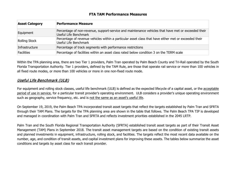#### **FTA TAM Performance Measures**

| <b>Asset Category</b> | <b>Performance Measure</b>                                                                                                     |
|-----------------------|--------------------------------------------------------------------------------------------------------------------------------|
| Equipment             | Percentage of non-revenue, support-service and maintenance vehicles that have met or exceeded their<br>Useful Life Benchmark   |
| Rolling Stock         | Percentage of revenue vehicles within a particular asset class that have either met or exceeded their<br>Useful Life Benchmark |
| Infrastructure        | Percentage of track segments with performance restrictions                                                                     |
| Facilities            | Percentage of facilities within an asset class rated below condition 3 on the TERM scale                                       |

Within the TPA planning area, there are two Tier 1 providers, Palm Tran operated by Palm Beach County and Tri-Rail operated by the South Florida Transportation Authority. Tier 1 providers, defined by the TAM Rule, are those that operate rail service or more than 100 vehicles in all fixed route modes, or more than 100 vehicles or more in one non-fixed route mode.

# Useful Life Benchmark (ULB)

For equipment and rolling stock classes, useful life benchmark (ULB) is defined as the expected lifecycle of a capital asset, or the acceptable period of use in service, for a particular transit provider's operating environment. ULB considers a provider's unique operating environment such as geography, service frequency, etc. and is not the same as an asset's useful life.

On September 19, 2019, the Palm Beach TPA incorporated transit asset targets that reflect the targets established by Palm Tran and SFRTA through their TAM Plans. The targets for the TPA planning area are shown in the table that follows. The Palm Beach TPA TIP is developed and managed in coordination with Palm Tran and SFRTA and reflects investment priorities established in the 2045 LRTP.

Palm Tran and the South Florida Regional Transportation Authority (SFRTA) established transit asset targets as part of their Transit Asset Management (TAM) Plans in September 2018. The transit asset management targets are based on the condition of existing transit assets and planned investments in equipment, infrastructure, rolling stock, and facilities. The targets reflect the most recent data available on the number, age, and condition of transit assets, and capital investment plans for improving these assets. The tables below summarize the asset conditions and targets by asset class for each transit provider.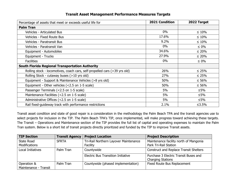### **Transit Asset Management Performance Measures Targets**

| Percentage of assets that meet or exceeds useful life for                  | 2021 Condition | 2022 Target |
|----------------------------------------------------------------------------|----------------|-------------|
| <b>Palm Tran</b>                                                           |                |             |
| Vehicles - Articulated Bus                                                 | $0\%$          | $\leq 10\%$ |
| <b>Vehicles - Fixed Route Bus</b>                                          | 17.6%          | $\leq 10\%$ |
| Vehicles - Paratransit Bus                                                 | 9.2%           | $\leq 10\%$ |
| Vehicles - Paratransit Van                                                 | $0\%$          | $\leq 0\%$  |
| Equipment - Automobiles                                                    | 34.6%          | $\leq 20\%$ |
| Equipment - Trucks                                                         | 27.9%          | $\leq 20\%$ |
| <b>Facilities</b>                                                          | $0\%$          | $\leq 0\%$  |
| <b>South Florida Regional Transportation Authority</b>                     |                |             |
| Rolling stock - locomotives, coach cars, self-propelled cars (>39 yrs old) | 26%            | $\leq 25\%$ |
| Rolling Stock - cutaway buses (>10 yrs old)                                | 27%            | $\leq 25\%$ |
| Equipment - Support & Maintenance Vehicles (>8 yrs old)                    | 50%            | $\leq 56\%$ |
| Equipment - Other vehicles (<2.5 on 1-5 scale)                             | 50%            | $\leq 56\%$ |
| Passenger Terminals (<2.5 on 1-5 scale)                                    | 5%             | ≤5%         |
| Maintenance Facilities (<2.5 on 1-5 scale)                                 | 5%             | $\leq 5\%$  |
| Administrative Offices (<2.5 on 1-5 scale)                                 | 5%             | ≤5%         |
| Rail fixed-guideway track with performance restrictions                    | 2.1%           | ≤3.5%       |

Transit asset condition and state of good repair is a consideration in the methodology the Palm Beach TPA and the transit agencies use to select projects for inclusion in the TIP. The Palm Beach TPA's TIP, once implemented, will make progress toward achieving these targets. The Transit – Operations and Maintenance section of the TIP provides the full list of capital and operating expenses to maintain the Palm Tran system. Below is a short list of transit projects directly prioritized and funded by the TIP to improve Transit assets.

| <b>TIP Section</b>       | <b>Transit Agency</b> | <b>Project Location</b>                   | <b>Project Description</b>                    |
|--------------------------|-----------------------|-------------------------------------------|-----------------------------------------------|
| State Road               | <b>SFRTA</b>          | Tri-Rail Northern Layover Maintenance     | Maintenance facility north of Mangonia        |
| <b>Modifications</b>     |                       | Facility                                  | Park Tri-Rail Station                         |
| <b>Local Initiatives</b> | Palm Tran             | Countywide                                | <b>Construct and Replace Transit Shelters</b> |
|                          |                       | <b>Electric Bus Transition Initiative</b> | Purchase 3 Electric Transit Buses and         |
|                          |                       |                                           | <b>Charging Stations</b>                      |
| Operation &              | Palm Tran             | Countywide (phased implementation)        | <b>Fixed Route Bus Replacement</b>            |
| Maintenance - Transit    |                       |                                           |                                               |